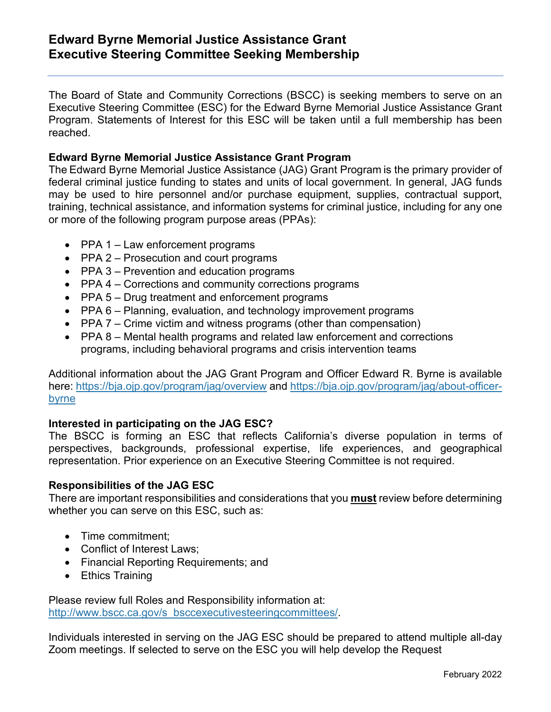# **Edward Byrne Memorial Justice Assistance Grant Executive Steering Committee Seeking Membership**

The Board of State and Community Corrections (BSCC) is seeking members to serve on an Executive Steering Committee (ESC) for the Edward Byrne Memorial Justice Assistance Grant Program. Statements of Interest for this ESC will be taken until a full membership has been reached.

### **Edward Byrne Memorial Justice Assistance Grant Program**

The Edward Byrne Memorial Justice Assistance (JAG) Grant Program is the primary provider of federal criminal justice funding to states and units of local government. In general, JAG funds may be used to hire personnel and/or purchase equipment, supplies, contractual support, training, technical assistance, and information systems for criminal justice, including for any one or more of the following program purpose areas (PPAs):

- PPA 1 Law enforcement programs
- PPA 2 Prosecution and court programs
- PPA 3 Prevention and education programs
- PPA 4 Corrections and community corrections programs
- PPA 5 Drug treatment and enforcement programs
- PPA 6 Planning, evaluation, and technology improvement programs
- PPA 7 Crime victim and witness programs (other than compensation)
- PPA 8 Mental health programs and related law enforcement and corrections programs, including behavioral programs and crisis intervention teams

Additional information about the JAG Grant Program and Officer Edward R. Byrne is available here: <https://bja.ojp.gov/program/jag/overview> and [https://bja.ojp.gov/program/jag/about-officer](https://bja.ojp.gov/program/jag/about-officer-byrne)[byrne](https://bja.ojp.gov/program/jag/about-officer-byrne)

#### **Interested in participating on the JAG ESC?**

The BSCC is forming an ESC that reflects California's diverse population in terms of perspectives, backgrounds, professional expertise, life experiences, and geographical representation. Prior experience on an Executive Steering Committee is not required.

#### **Responsibilities of the JAG ESC**

There are important responsibilities and considerations that you **must** review before determining whether you can serve on this ESC, such as:

- Time commitment:
- Conflict of Interest Laws;
- Financial Reporting Requirements; and
- Ethics Training

Please review full Roles and Responsibility information at: [http://www.bscc.ca.gov/s\\_bsccexecutivesteeringcommittees/.](http://www.bscc.ca.gov/s_bsccexecutivesteeringcommittees/)

Individuals interested in serving on the JAG ESC should be prepared to attend multiple all-day Zoom meetings. If selected to serve on the ESC you will help develop the Request